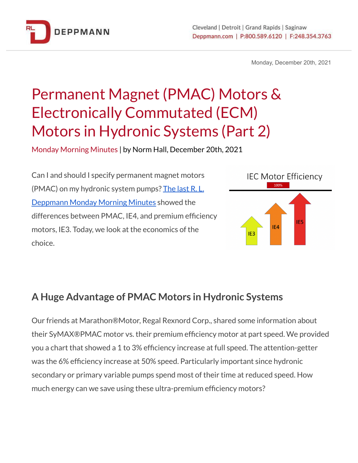

Monday, December 20th, 2021

# Permanent Magnet (PMAC) Motors & Electronically Commutated (ECM) Motors in Hydronic Systems (Part 2)

Monday Morning Minutes | by Norm Hall, December 20th, 2021

Can I and should I specify permanent magnet motors (PMAC) on my hydronic system pumps? [The](https://www.deppmann.com/blog/monday-morning-minutes/permanent-magnet-motors-electronically-commutated-hydronic-systems/) last R. L. [Deppmann](https://www.deppmann.com/blog/monday-morning-minutes/permanent-magnet-motors-electronically-commutated-hydronic-systems/) Monday Morning Minutes showed the differences between PMAC, IE4, and premium efficiency motors, IE3. Today, we look at the economics of the choice.



## **A Huge Advantage of PMAC Motors in Hydronic Systems**

Our friends at Marathon®Motor, Regal Rexnord Corp., shared some information about their SyMAX®PMAC motor vs. their premium efficiency motor at part speed. We provided you a chart that showed a 1 to 3% efficiency increase at full speed. The attention-getter was the 6% efficiency increase at 50% speed. Particularly important since hydronic secondary or primary variable pumps spend most of their time at reduced speed. How much energy can we save using these ultra-premium efficiency motors?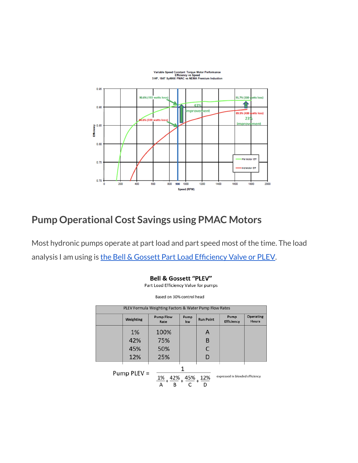

## **Pump Operational Cost Savings using PMAC Motors**

Most hydronic pumps operate at part load and part speed most of the time. The load analysis I am using is the Bell & Gossett Part Load [Efficiency](https://www.deppmann.com/blog/monday-morning-minutes/bell-gossett-part-load-efficiency-value/) Valve or PLEV.

| Part Load Efficiency Value for pumps                                                |           |                          |            |                  |                           |                                  |  |  |  |
|-------------------------------------------------------------------------------------|-----------|--------------------------|------------|------------------|---------------------------|----------------------------------|--|--|--|
| Based on 30% control head                                                           |           |                          |            |                  |                           |                                  |  |  |  |
| PLEV Formula Weighting Factors & Water Pump Flow Rates                              |           |                          |            |                  |                           |                                  |  |  |  |
|                                                                                     | Weighting | <b>Pump Flow</b><br>Rate | Pump<br>kw | <b>Run Point</b> | Pump<br><b>Efficiency</b> | <b>Operating</b><br><b>Hours</b> |  |  |  |
|                                                                                     | 1%        | 100%                     |            | A                |                           |                                  |  |  |  |
|                                                                                     | 42%       | 75%                      |            | B                |                           |                                  |  |  |  |
|                                                                                     | 45%       | 50%                      |            | C                |                           |                                  |  |  |  |
|                                                                                     | 12%       | 25%                      |            | D                |                           |                                  |  |  |  |
| Pump PLEV =<br>expressed in blended efficiency<br>1%<br>42%<br>45%<br>12%<br>D<br>B |           |                          |            |                  |                           |                                  |  |  |  |

**Bell & Gossett "PLEV"**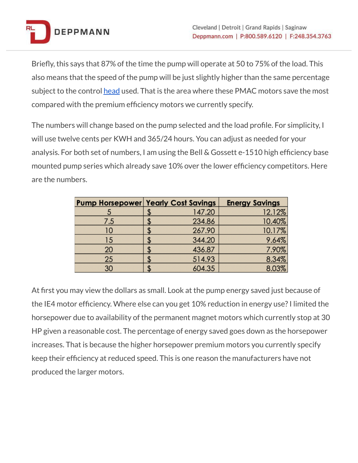

Briefly, this says that 87% of the time the pump will operate at 50 to 75% of the load. This also means that the speed of the pump will be just slightly higher than the same percentage subject to the control [head](https://www.deppmann.com/blog/monday-morning-minutes/hvac-variable-speed-pump-control-head/) used. That is the area where these PMAC motors save the most compared with the premium efficiency motors we currently specify.

The numbers will change based on the pump selected and the load profile. For simplicity, I will use twelve cents per KWH and 365/24 hours. You can adjust as needed for your analysis. For both set of numbers, I am using the Bell & Gossett e-1510 high efficiency base mounted pump series which already save 10% over the lower efficiency competitors. Here are the numbers.

| <b>Pump Horsepower Yearly Cost Savings</b> |        | <b>Energy Savings</b> |
|--------------------------------------------|--------|-----------------------|
|                                            | 147.20 | 12.12%                |
| 7.5                                        | 234.86 | 10.40%                |
| 10                                         | 267.90 | 10.17%                |
| 15                                         | 344.20 | 9.64%                 |
| 20                                         | 436.87 | 7.90%                 |
| 25                                         | 514.93 | 8.34%                 |
| 30                                         | 604.35 | 8.03%                 |

At first you may view the dollars as small. Look at the pump energy saved just because of the IE4 motor efficiency. Where else can you get 10% reduction in energy use?I limited the horsepower due to availability of the permanent magnet motors which currently stop at 30 HP given a reasonable cost. The percentage of energy saved goes down as the horsepower increases. That is because the higher horsepower premium motors you currently specify keep their efficiency at reduced speed. This is one reason the manufacturers have not produced the larger motors.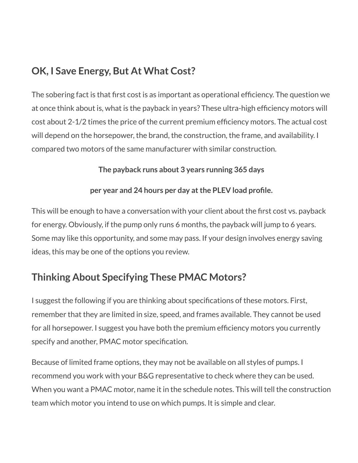# **OK, I Save Energy, But At What Cost?**

The sobering fact is that first cost is as important as operational efficiency. The question we at once think about is, what is the payback in years? These ultra-high efficiency motors will cost about 2-1/2 times the price of the current premium efficiency motors. The actual cost will depend on the horsepower, the brand, the construction, the frame, and availability. I compared two motors of the same manufacturer with similar construction.

#### **The payback runs about 3 years running 365 days**

#### **per year and 24 hours per day atthe PLEV load profile.**

This will be enough to have a conversation with your client about the first cost vs. payback for energy. Obviously, if the pump only runs 6 months, the payback will jump to 6 years. Some may like this opportunity, and some may pass. If your design involves energy saving ideas, this may be one of the options you review.

# **Thinking About Specifying These PMAC Motors?**

I suggest the following if you are thinking about specifications of these motors. First, remember that they are limited in size, speed, and frames available. They cannot be used for all horsepower. I suggest you have both the premium efficiency motors you currently specify and another, PMAC motor specification.

Because of limited frame options, they may not be available on all styles of pumps. I recommend you work with your B&G representative to check where they can be used. When you want a PMAC motor, name it in the schedule notes. This will tell the construction team which motor you intend to use on which pumps. It is simple and clear.